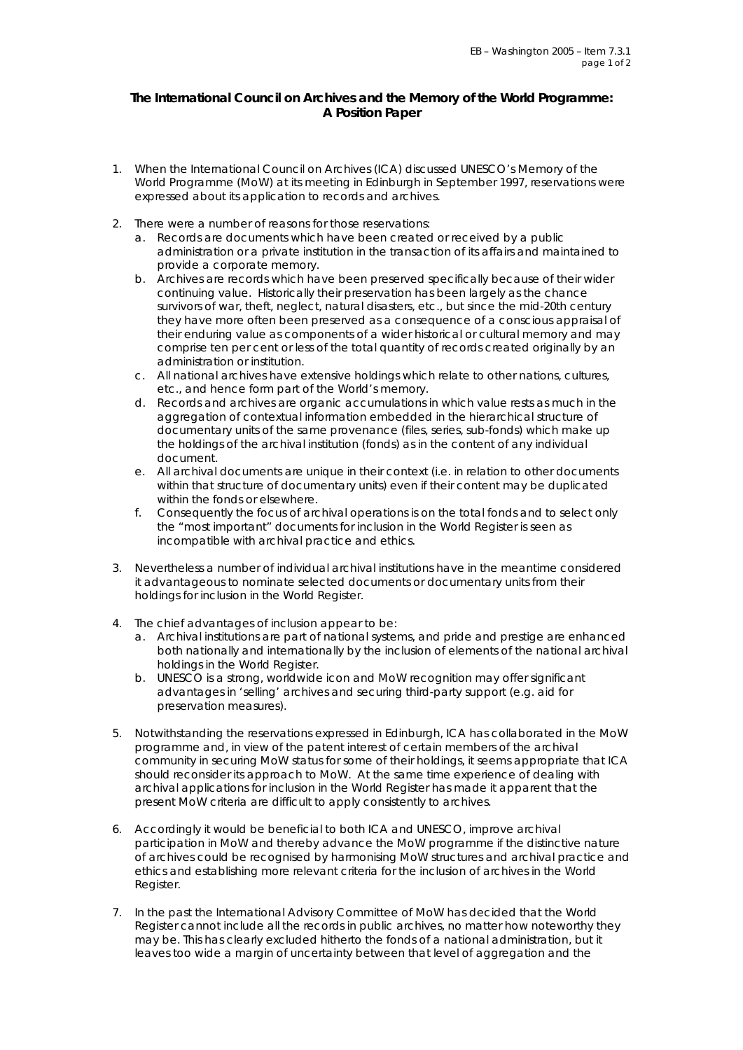## **The International Council on Archives and the Memory of the World Programme: A Position Paper**

- 1. When the International Council on Archives (ICA) discussed UNESCO's Memory of the World Programme (MoW) at its meeting in Edinburgh in September 1997, reservations were expressed about its application to records and archives.
- 2. There were a number of reasons for those reservations:
	- a. Records are documents which have been created or received by a public administration or a private institution in the transaction of its affairs and maintained to provide a corporate memory.
	- b. Archives are records which have been preserved specifically because of their wider continuing value. Historically their preservation has been largely as the chance survivors of war, theft, neglect, natural disasters, etc., but since the mid-20th century they have more often been preserved as a consequence of a conscious appraisal of their enduring value as components of a wider historical or cultural memory and may comprise ten per cent or less of the total quantity of records created originally by an administration or institution.
	- c. All national archives have extensive holdings which relate to other nations, cultures, etc., and hence form part of the World's memory.
	- d. Records and archives are organic accumulations in which value rests as much in the aggregation of contextual information embedded in the hierarchical structure of documentary units of the same provenance (files, series, sub-fonds) which make up the holdings of the archival institution (fonds) as in the content of any individual document.
	- e. All archival documents are unique in their context (i.e. in relation to other documents within that structure of documentary units) even if their content may be duplicated within the fonds or elsewhere.
	- f. Consequently the focus of archival operations is on the total fonds and to select only the "most important" documents for inclusion in the World Register is seen as incompatible with archival practice and ethics.
- 3. Nevertheless a number of individual archival institutions have in the meantime considered it advantageous to nominate selected documents or documentary units from their holdings for inclusion in the World Register.
- 4. The chief advantages of inclusion appear to be:
	- a. Archival institutions are part of national systems, and pride and prestige are enhanced both nationally and internationally by the inclusion of elements of the national archival holdings in the World Register.
	- b. UNESCO is a strong, worldwide icon and MoW recognition may offer significant advantages in 'selling' archives and securing third-party support (e.g. aid for preservation measures).
- 5. Notwithstanding the reservations expressed in Edinburgh, ICA has collaborated in the MoW programme and, in view of the patent interest of certain members of the archival community in securing MoW status for some of their holdings, it seems appropriate that ICA should reconsider its approach to MoW. At the same time experience of dealing with archival applications for inclusion in the World Register has made it apparent that the present MoW criteria are difficult to apply consistently to archives.
- 6. Accordingly it would be beneficial to both ICA and UNESCO, improve archival participation in MoW and thereby advance the MoW programme if the distinctive nature of archives could be recognised by harmonising MoW structures and archival practice and ethics and establishing more relevant criteria for the inclusion of archives in the World Register.
- 7. In the past the International Advisory Committee of MoW has decided that the World Register cannot include all the records in public archives, no matter how noteworthy they may be. This has clearly excluded hitherto the fonds of a national administration, but it leaves too wide a margin of uncertainty between that level of aggregation and the